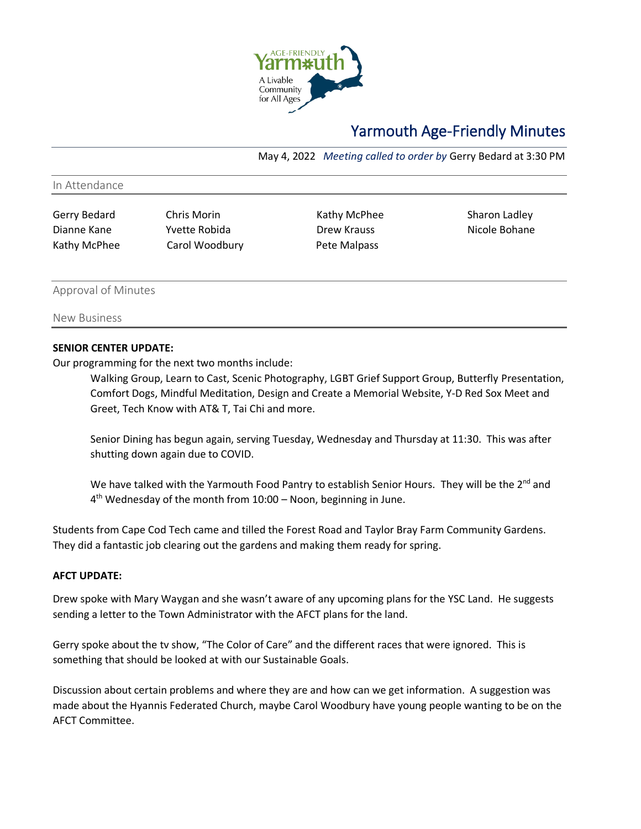

# Yarmouth Age-Friendly Minutes

May 4, 2022 *Meeting called to order by* Gerry Bedard at 3:30 PM

#### In Attendance

Dianne Kane Yvette Robida Drew Krauss Nicole Bohane Kathy McPhee Carol Woodbury Pete Malpass

Gerry Bedard Chris Morin Chris Chris Kathy McPhee Sharon Ladley

#### Approval of Minutes

New Business

# **SENIOR CENTER UPDATE:**

Our programming for the next two months include:

Walking Group, Learn to Cast, Scenic Photography, LGBT Grief Support Group, Butterfly Presentation, Comfort Dogs, Mindful Meditation, Design and Create a Memorial Website, Y-D Red Sox Meet and Greet, Tech Know with AT& T, Tai Chi and more.

Senior Dining has begun again, serving Tuesday, Wednesday and Thursday at 11:30. This was after shutting down again due to COVID.

We have talked with the Yarmouth Food Pantry to establish Senior Hours. They will be the  $2^{nd}$  and 4<sup>th</sup> Wednesday of the month from 10:00 - Noon, beginning in June.

Students from Cape Cod Tech came and tilled the Forest Road and Taylor Bray Farm Community Gardens. They did a fantastic job clearing out the gardens and making them ready for spring.

# **AFCT UPDATE:**

Drew spoke with Mary Waygan and she wasn't aware of any upcoming plans for the YSC Land. He suggests sending a letter to the Town Administrator with the AFCT plans for the land.

Gerry spoke about the tv show, "The Color of Care" and the different races that were ignored. This is something that should be looked at with our Sustainable Goals.

Discussion about certain problems and where they are and how can we get information. A suggestion was made about the Hyannis Federated Church, maybe Carol Woodbury have young people wanting to be on the AFCT Committee.